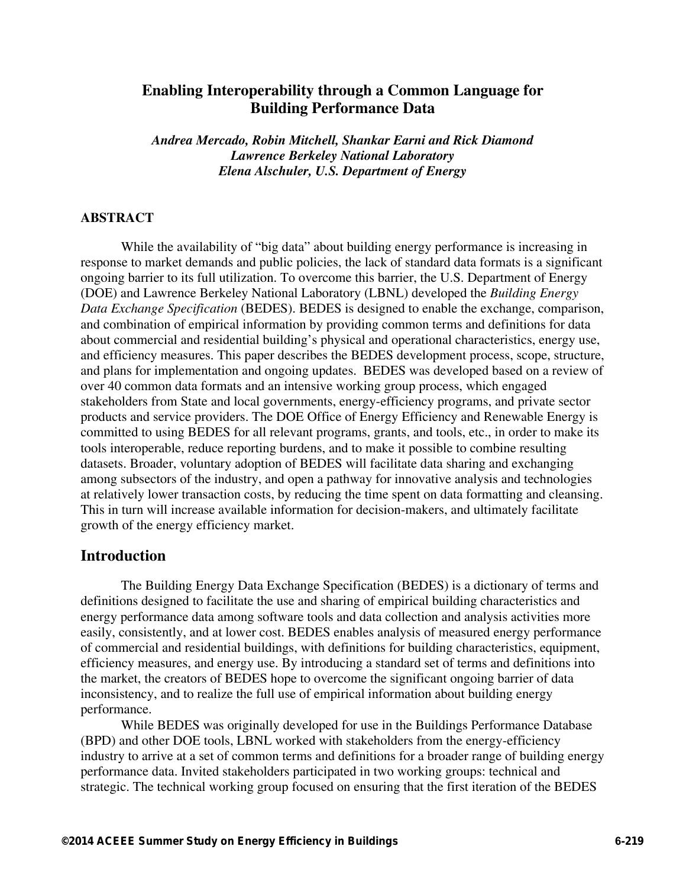# **Enabling Interoperability through a Common Language for Building Performance Data**

*Andrea Mercado, Robin Mitchell, Shankar Earni and Rick Diamond Lawrence Berkeley National Laboratory Elena Alschuler, U.S. Department of Energy*

#### **ABSTRACT**

While the availability of "big data" about building energy performance is increasing in response to market demands and public policies, the lack of standard data formats is a significant ongoing barrier to its full utilization. To overcome this barrier, the U.S. Department of Energy (DOE) and Lawrence Berkeley National Laboratory (LBNL) developed the *Building Energy Data Exchange Specification* (BEDES). BEDES is designed to enable the exchange, comparison, and combination of empirical information by providing common terms and definitions for data about commercial and residential building's physical and operational characteristics, energy use, and efficiency measures. This paper describes the BEDES development process, scope, structure, and plans for implementation and ongoing updates. BEDES was developed based on a review of over 40 common data formats and an intensive working group process, which engaged stakeholders from State and local governments, energy-efficiency programs, and private sector products and service providers. The DOE Office of Energy Efficiency and Renewable Energy is committed to using BEDES for all relevant programs, grants, and tools, etc., in order to make its tools interoperable, reduce reporting burdens, and to make it possible to combine resulting datasets. Broader, voluntary adoption of BEDES will facilitate data sharing and exchanging among subsectors of the industry, and open a pathway for innovative analysis and technologies at relatively lower transaction costs, by reducing the time spent on data formatting and cleansing. This in turn will increase available information for decision-makers, and ultimately facilitate growth of the energy efficiency market.

#### **Introduction**

The Building Energy Data Exchange Specification (BEDES) is a dictionary of terms and definitions designed to facilitate the use and sharing of empirical building characteristics and energy performance data among software tools and data collection and analysis activities more easily, consistently, and at lower cost. BEDES enables analysis of measured energy performance of commercial and residential buildings, with definitions for building characteristics, equipment, efficiency measures, and energy use. By introducing a standard set of terms and definitions into the market, the creators of BEDES hope to overcome the significant ongoing barrier of data inconsistency, and to realize the full use of empirical information about building energy performance.

While BEDES was originally developed for use in the Buildings Performance Database (BPD) and other DOE tools, LBNL worked with stakeholders from the energy-efficiency industry to arrive at a set of common terms and definitions for a broader range of building energy performance data. Invited stakeholders participated in two working groups: technical and strategic. The technical working group focused on ensuring that the first iteration of the BEDES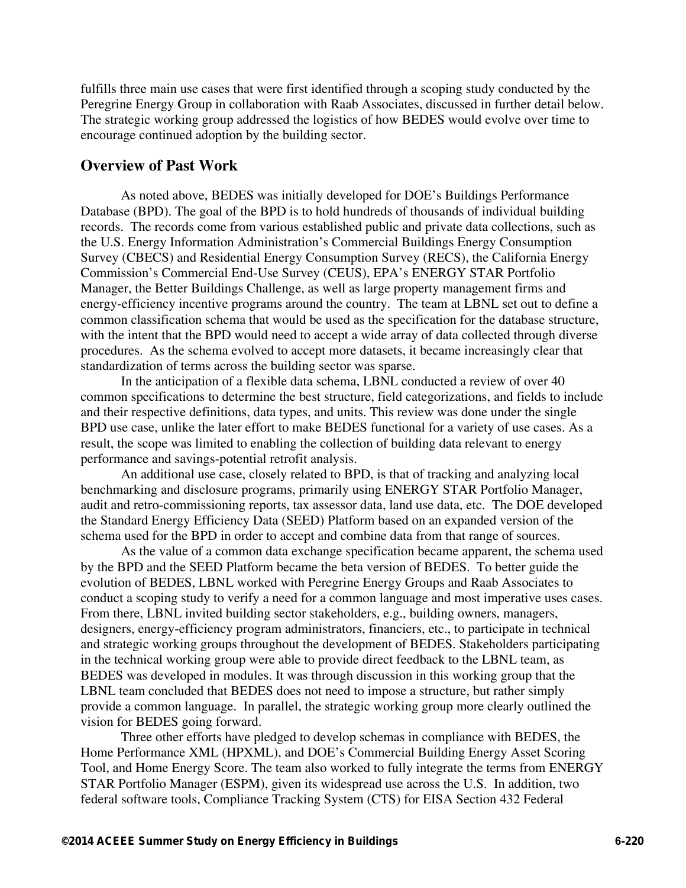fulfills three main use cases that were first identified through a scoping study conducted by the Peregrine Energy Group in collaboration with Raab Associates, discussed in further detail below. The strategic working group addressed the logistics of how BEDES would evolve over time to encourage continued adoption by the building sector.

# **Overview of Past Work**

As noted above, BEDES was initially developed for DOE's Buildings Performance Database (BPD). The goal of the BPD is to hold hundreds of thousands of individual building records. The records come from various established public and private data collections, such as the U.S. Energy Information Administration's Commercial Buildings Energy Consumption Survey (CBECS) and Residential Energy Consumption Survey (RECS), the California Energy Commission's Commercial End-Use Survey (CEUS), EPA's ENERGY STAR Portfolio Manager, the Better Buildings Challenge, as well as large property management firms and energy-efficiency incentive programs around the country. The team at LBNL set out to define a common classification schema that would be used as the specification for the database structure, with the intent that the BPD would need to accept a wide array of data collected through diverse procedures. As the schema evolved to accept more datasets, it became increasingly clear that standardization of terms across the building sector was sparse.

In the anticipation of a flexible data schema, LBNL conducted a review of over 40 common specifications to determine the best structure, field categorizations, and fields to include and their respective definitions, data types, and units. This review was done under the single BPD use case, unlike the later effort to make BEDES functional for a variety of use cases. As a result, the scope was limited to enabling the collection of building data relevant to energy performance and savings-potential retrofit analysis.

An additional use case, closely related to BPD, is that of tracking and analyzing local benchmarking and disclosure programs, primarily using ENERGY STAR Portfolio Manager, audit and retro-commissioning reports, tax assessor data, land use data, etc. The DOE developed the Standard Energy Efficiency Data (SEED) Platform based on an expanded version of the schema used for the BPD in order to accept and combine data from that range of sources.

As the value of a common data exchange specification became apparent, the schema used by the BPD and the SEED Platform became the beta version of BEDES. To better guide the evolution of BEDES, LBNL worked with Peregrine Energy Groups and Raab Associates to conduct a scoping study to verify a need for a common language and most imperative uses cases. From there, LBNL invited building sector stakeholders, e.g., building owners, managers, designers, energy-efficiency program administrators, financiers, etc., to participate in technical and strategic working groups throughout the development of BEDES. Stakeholders participating in the technical working group were able to provide direct feedback to the LBNL team, as BEDES was developed in modules. It was through discussion in this working group that the LBNL team concluded that BEDES does not need to impose a structure, but rather simply provide a common language. In parallel, the strategic working group more clearly outlined the vision for BEDES going forward.

Three other efforts have pledged to develop schemas in compliance with BEDES, the Home Performance XML (HPXML), and DOE's Commercial Building Energy Asset Scoring Tool, and Home Energy Score. The team also worked to fully integrate the terms from ENERGY STAR Portfolio Manager (ESPM), given its widespread use across the U.S. In addition, two federal software tools, Compliance Tracking System (CTS) for EISA Section 432 Federal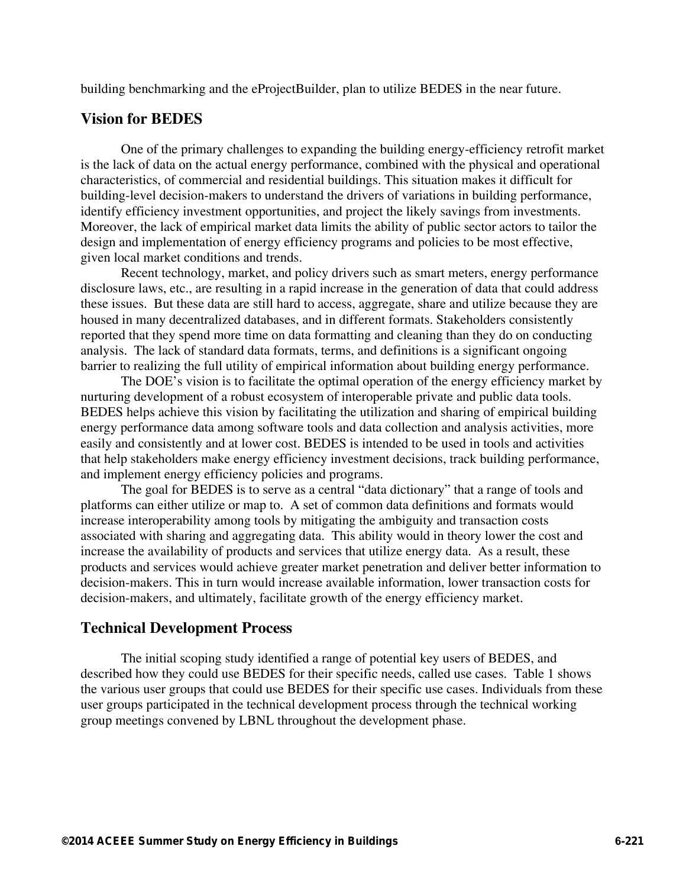building benchmarking and the eProjectBuilder, plan to utilize BEDES in the near future.

## **Vision for BEDES**

One of the primary challenges to expanding the building energy-efficiency retrofit market is the lack of data on the actual energy performance, combined with the physical and operational characteristics, of commercial and residential buildings. This situation makes it difficult for building-level decision-makers to understand the drivers of variations in building performance, identify efficiency investment opportunities, and project the likely savings from investments. Moreover, the lack of empirical market data limits the ability of public sector actors to tailor the design and implementation of energy efficiency programs and policies to be most effective, given local market conditions and trends.

Recent technology, market, and policy drivers such as smart meters, energy performance disclosure laws, etc., are resulting in a rapid increase in the generation of data that could address these issues. But these data are still hard to access, aggregate, share and utilize because they are housed in many decentralized databases, and in different formats. Stakeholders consistently reported that they spend more time on data formatting and cleaning than they do on conducting analysis. The lack of standard data formats, terms, and definitions is a significant ongoing barrier to realizing the full utility of empirical information about building energy performance.

The DOE's vision is to facilitate the optimal operation of the energy efficiency market by nurturing development of a robust ecosystem of interoperable private and public data tools. BEDES helps achieve this vision by facilitating the utilization and sharing of empirical building energy performance data among software tools and data collection and analysis activities, more easily and consistently and at lower cost. BEDES is intended to be used in tools and activities that help stakeholders make energy efficiency investment decisions, track building performance, and implement energy efficiency policies and programs.

The goal for BEDES is to serve as a central "data dictionary" that a range of tools and platforms can either utilize or map to. A set of common data definitions and formats would increase interoperability among tools by mitigating the ambiguity and transaction costs associated with sharing and aggregating data. This ability would in theory lower the cost and increase the availability of products and services that utilize energy data. As a result, these products and services would achieve greater market penetration and deliver better information to decision-makers. This in turn would increase available information, lower transaction costs for decision-makers, and ultimately, facilitate growth of the energy efficiency market.

### **Technical Development Process**

The initial scoping study identified a range of potential key users of BEDES, and described how they could use BEDES for their specific needs, called use cases. Table 1 shows the various user groups that could use BEDES for their specific use cases. Individuals from these user groups participated in the technical development process through the technical working group meetings convened by LBNL throughout the development phase.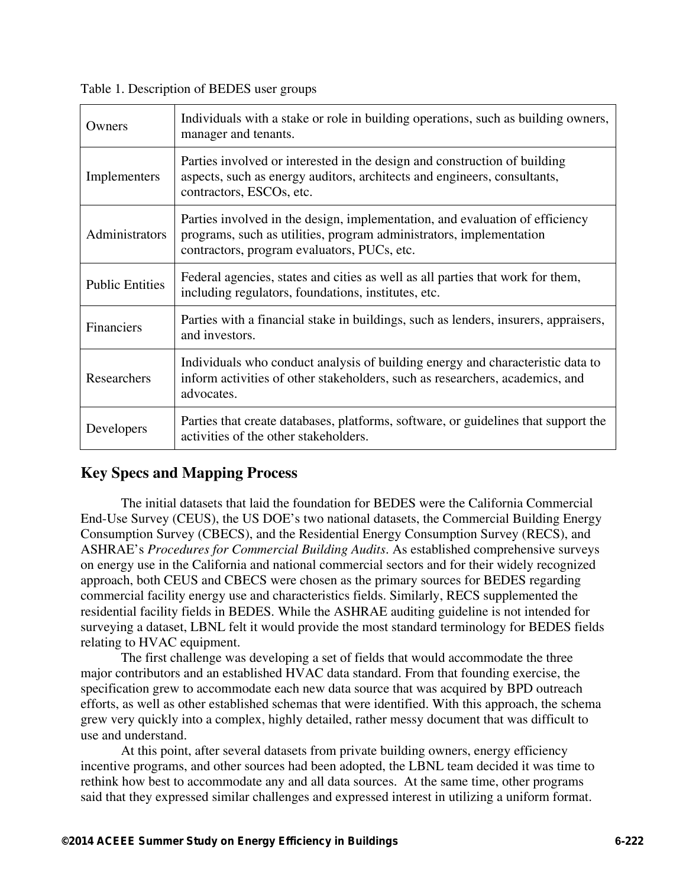Table 1. Description of BEDES user groups

| Owners                 | Individuals with a stake or role in building operations, such as building owners,<br>manager and tenants.                                                                                          |
|------------------------|----------------------------------------------------------------------------------------------------------------------------------------------------------------------------------------------------|
| Implementers           | Parties involved or interested in the design and construction of building<br>aspects, such as energy auditors, architects and engineers, consultants,<br>contractors, ESCOs, etc.                  |
| Administrators         | Parties involved in the design, implementation, and evaluation of efficiency<br>programs, such as utilities, program administrators, implementation<br>contractors, program evaluators, PUCs, etc. |
| <b>Public Entities</b> | Federal agencies, states and cities as well as all parties that work for them,<br>including regulators, foundations, institutes, etc.                                                              |
| Financiers             | Parties with a financial stake in buildings, such as lenders, insurers, appraisers,<br>and investors.                                                                                              |
| Researchers            | Individuals who conduct analysis of building energy and characteristic data to<br>inform activities of other stakeholders, such as researchers, academics, and<br>advocates.                       |
| Developers             | Parties that create databases, platforms, software, or guidelines that support the<br>activities of the other stakeholders.                                                                        |

# **Key Specs and Mapping Process**

The initial datasets that laid the foundation for BEDES were the California Commercial End-Use Survey (CEUS), the US DOE's two national datasets, the Commercial Building Energy Consumption Survey (CBECS), and the Residential Energy Consumption Survey (RECS), and ASHRAE's *Procedures for Commercial Building Audits*. As established comprehensive surveys on energy use in the California and national commercial sectors and for their widely recognized approach, both CEUS and CBECS were chosen as the primary sources for BEDES regarding commercial facility energy use and characteristics fields. Similarly, RECS supplemented the residential facility fields in BEDES. While the ASHRAE auditing guideline is not intended for surveying a dataset, LBNL felt it would provide the most standard terminology for BEDES fields relating to HVAC equipment.

The first challenge was developing a set of fields that would accommodate the three major contributors and an established HVAC data standard. From that founding exercise, the specification grew to accommodate each new data source that was acquired by BPD outreach efforts, as well as other established schemas that were identified. With this approach, the schema grew very quickly into a complex, highly detailed, rather messy document that was difficult to use and understand.

At this point, after several datasets from private building owners, energy efficiency incentive programs, and other sources had been adopted, the LBNL team decided it was time to rethink how best to accommodate any and all data sources. At the same time, other programs said that they expressed similar challenges and expressed interest in utilizing a uniform format.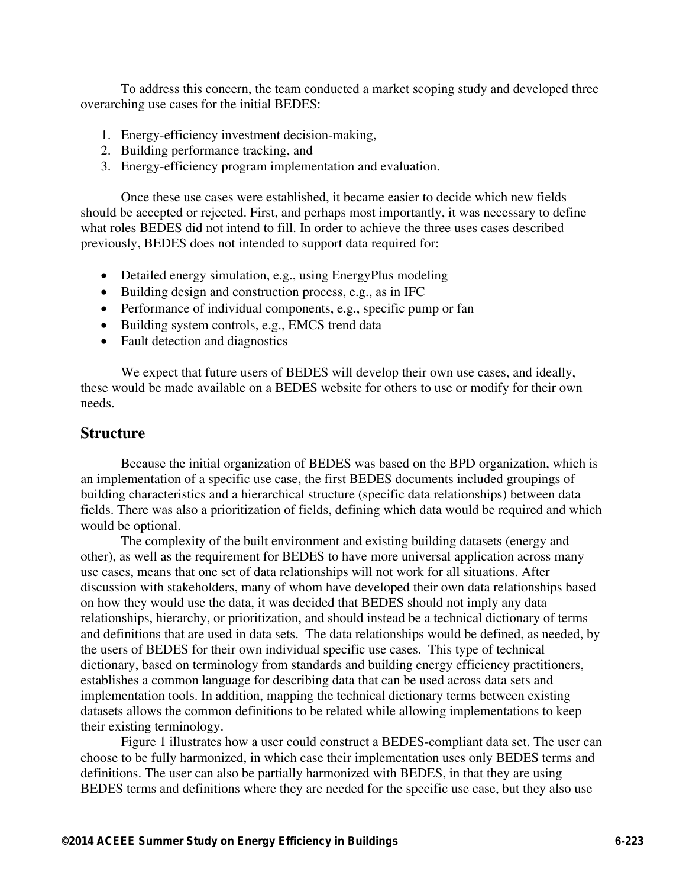To address this concern, the team conducted a market scoping study and developed three overarching use cases for the initial BEDES:

- 1. Energy-efficiency investment decision-making,
- 2. Building performance tracking, and
- 3. Energy-efficiency program implementation and evaluation.

Once these use cases were established, it became easier to decide which new fields should be accepted or rejected. First, and perhaps most importantly, it was necessary to define what roles BEDES did not intend to fill. In order to achieve the three uses cases described previously, BEDES does not intended to support data required for:

- Detailed energy simulation, e.g., using EnergyPlus modeling
- Building design and construction process, e.g., as in IFC
- Performance of individual components, e.g., specific pump or fan
- Building system controls, e.g., EMCS trend data
- Fault detection and diagnostics

We expect that future users of BEDES will develop their own use cases, and ideally, these would be made available on a BEDES website for others to use or modify for their own needs.

#### **Structure**

Because the initial organization of BEDES was based on the BPD organization, which is an implementation of a specific use case, the first BEDES documents included groupings of building characteristics and a hierarchical structure (specific data relationships) between data fields. There was also a prioritization of fields, defining which data would be required and which would be optional.

The complexity of the built environment and existing building datasets (energy and other), as well as the requirement for BEDES to have more universal application across many use cases, means that one set of data relationships will not work for all situations. After discussion with stakeholders, many of whom have developed their own data relationships based on how they would use the data, it was decided that BEDES should not imply any data relationships, hierarchy, or prioritization, and should instead be a technical dictionary of terms and definitions that are used in data sets. The data relationships would be defined, as needed, by the users of BEDES for their own individual specific use cases. This type of technical dictionary, based on terminology from standards and building energy efficiency practitioners, establishes a common language for describing data that can be used across data sets and implementation tools. In addition, mapping the technical dictionary terms between existing datasets allows the common definitions to be related while allowing implementations to keep their existing terminology.

Figure 1 illustrates how a user could construct a BEDES-compliant data set. The user can choose to be fully harmonized, in which case their implementation uses only BEDES terms and definitions. The user can also be partially harmonized with BEDES, in that they are using BEDES terms and definitions where they are needed for the specific use case, but they also use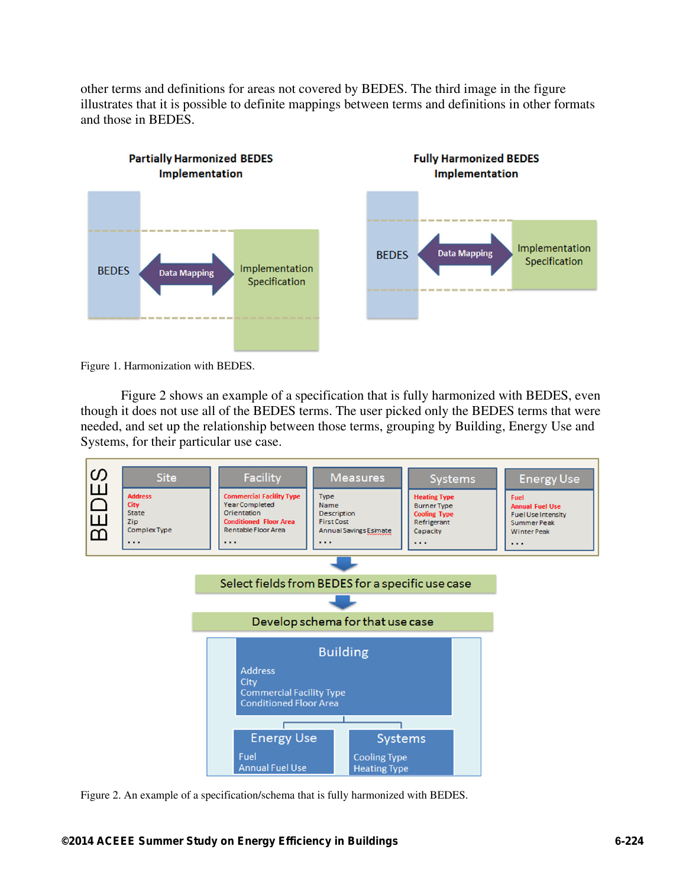other terms and definitions for areas not covered by BEDES. The third image in the figure illustrates that it is possible to definite mappings between terms and definitions in other formats and those in BEDES.



Figure 1. Harmonization with BEDES.

Figure 2 shows an example of a specification that is fully harmonized with BEDES, even though it does not use all of the BEDES terms. The user picked only the BEDES terms that were needed, and set up the relationship between those terms, grouping by Building, Energy Use and Systems, for their particular use case.



Figure 2. An example of a specification/schema that is fully harmonized with BEDES.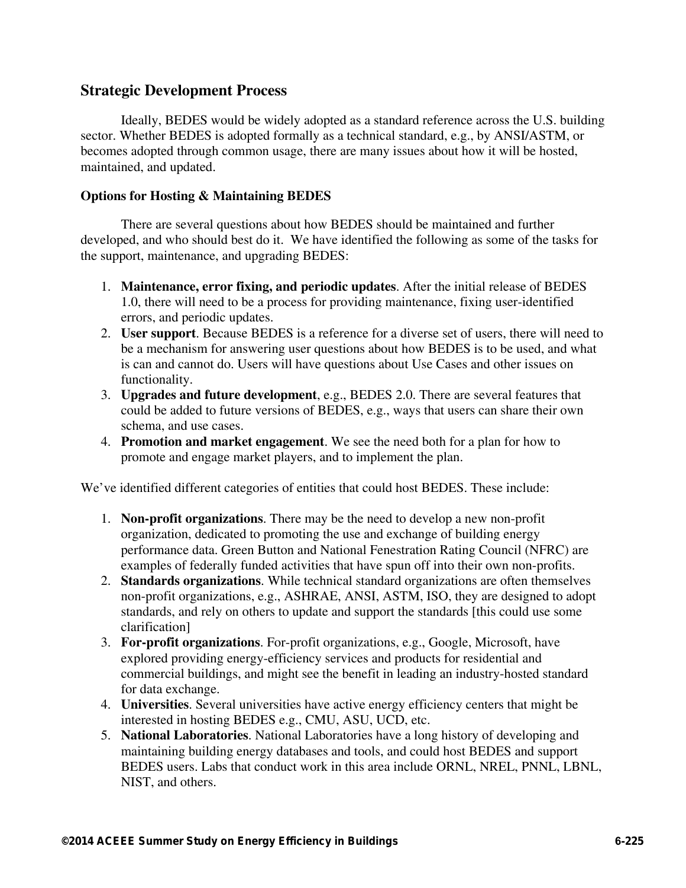### **Strategic Development Process**

Ideally, BEDES would be widely adopted as a standard reference across the U.S. building sector. Whether BEDES is adopted formally as a technical standard, e.g., by ANSI/ASTM, or becomes adopted through common usage, there are many issues about how it will be hosted, maintained, and updated.

#### **Options for Hosting & Maintaining BEDES**

There are several questions about how BEDES should be maintained and further developed, and who should best do it. We have identified the following as some of the tasks for the support, maintenance, and upgrading BEDES:

- 1. **Maintenance, error fixing, and periodic updates**. After the initial release of BEDES 1.0, there will need to be a process for providing maintenance, fixing user-identified errors, and periodic updates.
- 2. **User support**. Because BEDES is a reference for a diverse set of users, there will need to be a mechanism for answering user questions about how BEDES is to be used, and what is can and cannot do. Users will have questions about Use Cases and other issues on functionality.
- 3. **Upgrades and future development**, e.g., BEDES 2.0. There are several features that could be added to future versions of BEDES, e.g., ways that users can share their own schema, and use cases.
- 4. **Promotion and market engagement**. We see the need both for a plan for how to promote and engage market players, and to implement the plan.

We've identified different categories of entities that could host BEDES. These include:

- 1. **Non-profit organizations**. There may be the need to develop a new non-profit organization, dedicated to promoting the use and exchange of building energy performance data. Green Button and National Fenestration Rating Council (NFRC) are examples of federally funded activities that have spun off into their own non-profits.
- 2. **Standards organizations**. While technical standard organizations are often themselves non-profit organizations, e.g., ASHRAE, ANSI, ASTM, ISO, they are designed to adopt standards, and rely on others to update and support the standards [this could use some clarification]
- 3. **For-profit organizations**. For-profit organizations, e.g., Google, Microsoft, have explored providing energy-efficiency services and products for residential and commercial buildings, and might see the benefit in leading an industry-hosted standard for data exchange.
- 4. **Universities**. Several universities have active energy efficiency centers that might be interested in hosting BEDES e.g., CMU, ASU, UCD, etc.
- 5. **National Laboratories**. National Laboratories have a long history of developing and maintaining building energy databases and tools, and could host BEDES and support BEDES users. Labs that conduct work in this area include ORNL, NREL, PNNL, LBNL, NIST, and others.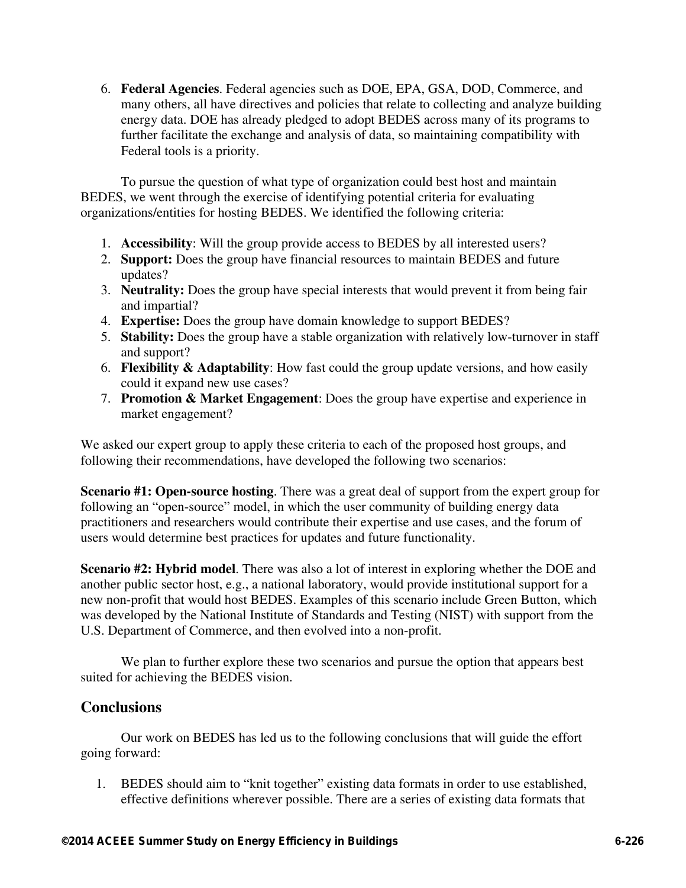6. **Federal Agencies**. Federal agencies such as DOE, EPA, GSA, DOD, Commerce, and many others, all have directives and policies that relate to collecting and analyze building energy data. DOE has already pledged to adopt BEDES across many of its programs to further facilitate the exchange and analysis of data, so maintaining compatibility with Federal tools is a priority.

To pursue the question of what type of organization could best host and maintain BEDES, we went through the exercise of identifying potential criteria for evaluating organizations/entities for hosting BEDES. We identified the following criteria:

- 1. **Accessibility**: Will the group provide access to BEDES by all interested users?
- 2. **Support:** Does the group have financial resources to maintain BEDES and future updates?
- 3. **Neutrality:** Does the group have special interests that would prevent it from being fair and impartial?
- 4. **Expertise:** Does the group have domain knowledge to support BEDES?
- 5. **Stability:** Does the group have a stable organization with relatively low-turnover in staff and support?
- 6. **Flexibility & Adaptability**: How fast could the group update versions, and how easily could it expand new use cases?
- 7. **Promotion & Market Engagement**: Does the group have expertise and experience in market engagement?

We asked our expert group to apply these criteria to each of the proposed host groups, and following their recommendations, have developed the following two scenarios:

**Scenario #1: Open-source hosting**. There was a great deal of support from the expert group for following an "open-source" model, in which the user community of building energy data practitioners and researchers would contribute their expertise and use cases, and the forum of users would determine best practices for updates and future functionality.

**Scenario #2: Hybrid model**. There was also a lot of interest in exploring whether the DOE and another public sector host, e.g., a national laboratory, would provide institutional support for a new non-profit that would host BEDES. Examples of this scenario include Green Button, which was developed by the National Institute of Standards and Testing (NIST) with support from the U.S. Department of Commerce, and then evolved into a non-profit.

We plan to further explore these two scenarios and pursue the option that appears best suited for achieving the BEDES vision.

# **Conclusions**

Our work on BEDES has led us to the following conclusions that will guide the effort going forward:

1. BEDES should aim to "knit together" existing data formats in order to use established, effective definitions wherever possible. There are a series of existing data formats that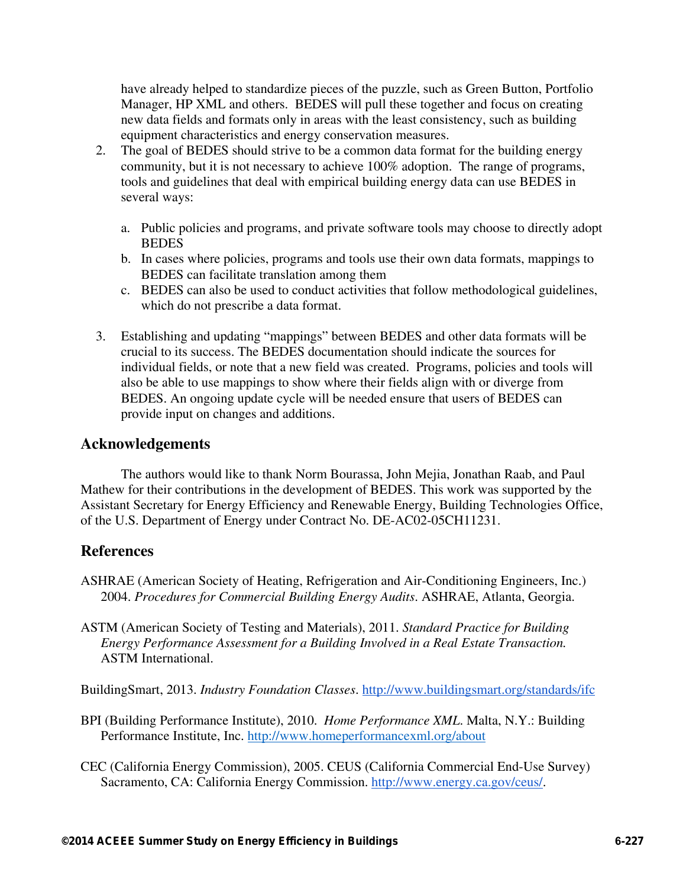have already helped to standardize pieces of the puzzle, such as Green Button, Portfolio Manager, HP XML and others. BEDES will pull these together and focus on creating new data fields and formats only in areas with the least consistency, such as building equipment characteristics and energy conservation measures.

- 2. The goal of BEDES should strive to be a common data format for the building energy community, but it is not necessary to achieve 100% adoption. The range of programs, tools and guidelines that deal with empirical building energy data can use BEDES in several ways:
	- a. Public policies and programs, and private software tools may choose to directly adopt **BEDES**
	- b. In cases where policies, programs and tools use their own data formats, mappings to BEDES can facilitate translation among them
	- c. BEDES can also be used to conduct activities that follow methodological guidelines, which do not prescribe a data format.
- 3. Establishing and updating "mappings" between BEDES and other data formats will be crucial to its success. The BEDES documentation should indicate the sources for individual fields, or note that a new field was created. Programs, policies and tools will also be able to use mappings to show where their fields align with or diverge from BEDES. An ongoing update cycle will be needed ensure that users of BEDES can provide input on changes and additions.

### **Acknowledgements**

The authors would like to thank Norm Bourassa, John Mejia, Jonathan Raab, and Paul Mathew for their contributions in the development of BEDES. This work was supported by the Assistant Secretary for Energy Efficiency and Renewable Energy, Building Technologies Office, of the U.S. Department of Energy under Contract No. DE-AC02-05CH11231.

# **References**

- ASHRAE (American Society of Heating, Refrigeration and Air-Conditioning Engineers, Inc.) 2004. *Procedures for Commercial Building Energy Audits*. ASHRAE, Atlanta, Georgia.
- ASTM (American Society of Testing and Materials), 2011. *Standard Practice for Building Energy Performance Assessment for a Building Involved in a Real Estate Transaction.* ASTM International.

BuildingSmart, 2013. *Industry Foundation Classes*. http://www.buildingsmart.org/standards/ifc

- BPI (Building Performance Institute), 2010. *Home Performance XML*. Malta, N.Y.: Building Performance Institute, Inc. http://www.homeperformancexml.org/about
- CEC (California Energy Commission), 2005. CEUS (California Commercial End-Use Survey) Sacramento, CA: California Energy Commission. http://www.energy.ca.gov/ceus/.